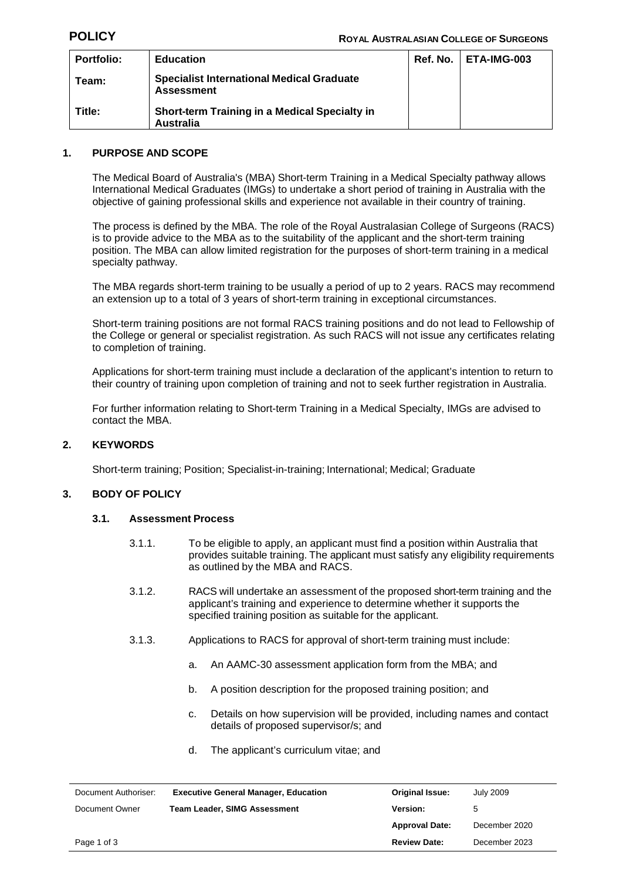| <b>Portfolio:</b> | <b>Education</b>                                                      | Ref. No. | ETA-IMG-003 |
|-------------------|-----------------------------------------------------------------------|----------|-------------|
| Team:             | <b>Specialist International Medical Graduate</b><br><b>Assessment</b> |          |             |
| Title:            | Short-term Training in a Medical Specialty in<br>Australia            |          |             |

### **1. PURPOSE AND SCOPE**

The Medical Board of Australia's (MBA) Short-term Training in a Medical Specialty pathway allows International Medical Graduates (IMGs) to undertake a short period of training in Australia with the objective of gaining professional skills and experience not available in their country of training.

The process is defined by the MBA. The role of the Royal Australasian College of Surgeons (RACS) is to provide advice to the MBA as to the suitability of the applicant and the short-term training position. The MBA can allow limited registration for the purposes of short-term training in a medical specialty pathway.

The MBA regards short-term training to be usually a period of up to 2 years. RACS may recommend an extension up to a total of 3 years of short-term training in exceptional circumstances.

Short-term training positions are not formal RACS training positions and do not lead to Fellowship of the College or general or specialist registration. As such RACS will not issue any certificates relating to completion of training.

Applications for short-term training must include a declaration of the applicant's intention to return to their country of training upon completion of training and not to seek further registration in Australia.

For further information relating to Short-term Training in a Medical Specialty, IMGs are advised to contact the MBA.

### **2. KEYWORDS**

Short-term training; Position; Specialist-in-training; International; Medical; Graduate

#### **3. BODY OF POLICY**

#### **3.1. Assessment Process**

- 3.1.1. To be eligible to apply, an applicant must find a position within Australia that provides suitable training. The applicant must satisfy any eligibility requirements as outlined by the MBA and RACS.
- 3.1.2. RACS will undertake an assessment of the proposed short-term training and the applicant's training and experience to determine whether it supports the specified training position as suitable for the applicant.
- 3.1.3. Applications to RACS for approval of short-term training must include:
	- a. An AAMC-30 assessment application form from the MBA; and
	- b. A position description for the proposed training position; and
	- c. Details on how supervision will be provided, including names and contact details of proposed supervisor/s; and
	- d. The applicant's curriculum vitae; and

| Document Authoriser: | <b>Executive General Manager, Education</b> | <b>Original Issue:</b> | July 2009     |
|----------------------|---------------------------------------------|------------------------|---------------|
| Document Owner       | <b>Team Leader, SIMG Assessment</b>         | <b>Version:</b>        | 5             |
|                      |                                             | <b>Approval Date:</b>  | December 2020 |
| Page 1 of 3          |                                             | <b>Review Date:</b>    | December 2023 |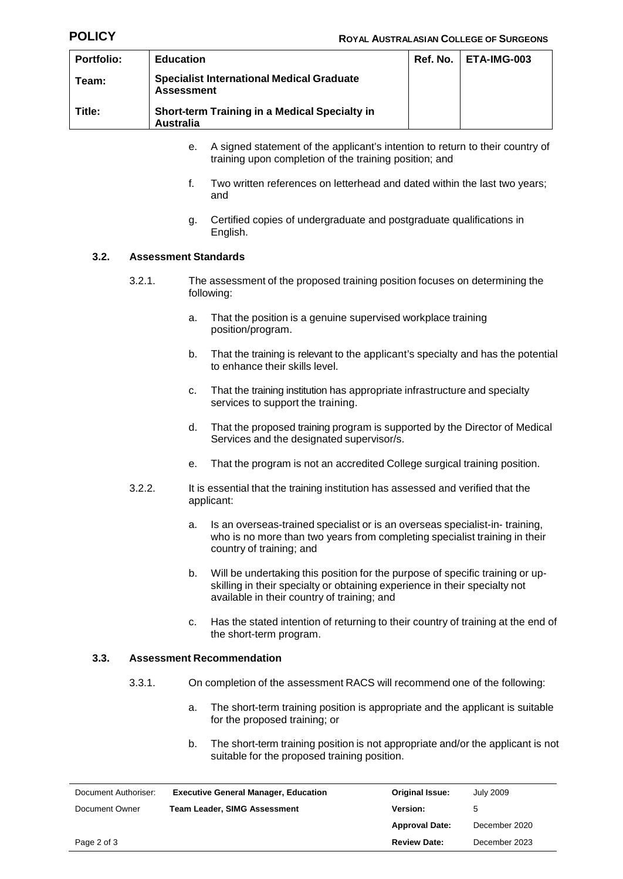| <b>Portfolio:</b> | <b>Education</b>                                                      | $Ref. No.$   $ETA-IMG-003$ |
|-------------------|-----------------------------------------------------------------------|----------------------------|
| Team:             | <b>Specialist International Medical Graduate</b><br><b>Assessment</b> |                            |
| Title:            | Short-term Training in a Medical Specialty in<br><b>Australia</b>     |                            |

- e. A signed statement of the applicant's intention to return to their country of training upon completion of the training position; and
- f. Two written references on letterhead and dated within the last two years; and
- g. Certified copies of undergraduate and postgraduate qualifications in English.

### **3.2. Assessment Standards**

- 3.2.1. The assessment of the proposed training position focuses on determining the following:
	- a. That the position is a genuine supervised workplace training position/program.
	- b. That the training is relevant to the applicant's specialty and has the potential to enhance their skills level.
	- c. That the training institution has appropriate infrastructure and specialty services to support the training.
	- d. That the proposed training program is supported by the Director of Medical Services and the designated supervisor/s.
	- e. That the program is not an accredited College surgical training position.
- 3.2.2. It is essential that the training institution has assessed and verified that the applicant:
	- a. Is an overseas-trained specialist or is an overseas specialist-in- training, who is no more than two years from completing specialist training in their country of training; and
	- b. Will be undertaking this position for the purpose of specific training or upskilling in their specialty or obtaining experience in their specialty not available in their country of training; and
	- c. Has the stated intention of returning to their country of training at the end of the short-term program.

#### **3.3. Assessment Recommendation**

- 3.3.1. On completion of the assessment RACS will recommend one of the following:
	- a. The short-term training position is appropriate and the applicant is suitable for the proposed training; or
	- b. The short-term training position is not appropriate and/or the applicant is not suitable for the proposed training position.

| Document Authoriser: | <b>Executive General Manager, Education</b> | <b>Original Issue:</b> | <b>July 2009</b> |
|----------------------|---------------------------------------------|------------------------|------------------|
| Document Owner       | <b>Team Leader, SIMG Assessment</b>         | <b>Version:</b><br>5   |                  |
|                      |                                             | <b>Approval Date:</b>  | December 2020    |
| Page 2 of 3          |                                             | <b>Review Date:</b>    | December 2023    |